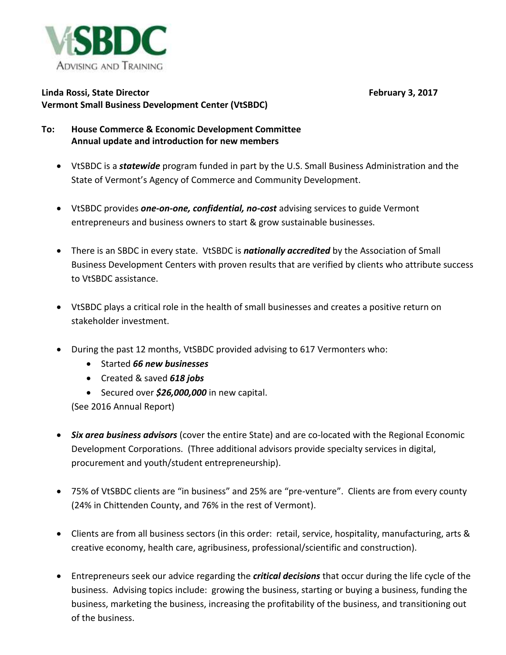

## **Linda Rossi, State Director February 3, 2017 Vermont Small Business Development Center (VtSBDC)**

## **To: House Commerce & Economic Development Committee Annual update and introduction for new members**

- VtSBDC is a *statewide* program funded in part by the U.S. Small Business Administration and the State of Vermont's Agency of Commerce and Community Development.
- VtSBDC provides *one-on-one, confidential, no-cost* advising services to guide Vermont entrepreneurs and business owners to start & grow sustainable businesses.
- There is an SBDC in every state. VtSBDC is *nationally accredited* by the Association of Small Business Development Centers with proven results that are verified by clients who attribute success to VtSBDC assistance.
- VtSBDC plays a critical role in the health of small businesses and creates a positive return on stakeholder investment.
- During the past 12 months, VtSBDC provided advising to 617 Vermonters who:
	- Started *66 new businesses*
	- Created & saved *618 jobs*
	- Secured over *\$26,000,000* in new capital.

(See 2016 Annual Report)

- *Six area business advisors* (cover the entire State) and are co-located with the Regional Economic Development Corporations. (Three additional advisors provide specialty services in digital, procurement and youth/student entrepreneurship).
- 75% of VtSBDC clients are "in business" and 25% are "pre-venture". Clients are from every county (24% in Chittenden County, and 76% in the rest of Vermont).
- Clients are from all business sectors (in this order: retail, service, hospitality, manufacturing, arts & creative economy, health care, agribusiness, professional/scientific and construction).
- Entrepreneurs seek our advice regarding the *critical decisions* that occur during the life cycle of the business. Advising topics include: growing the business, starting or buying a business, funding the business, marketing the business, increasing the profitability of the business, and transitioning out of the business.